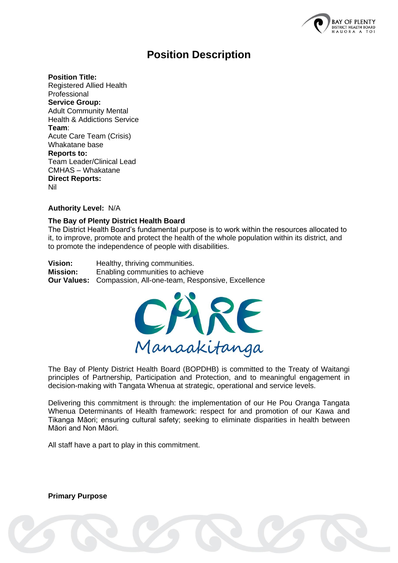

# **Position Description**

**Position Title:** 

Registered Allied Health Professional **Service Group:** Adult Community Mental Health & Addictions Service **Team**: Acute Care Team (Crisis) Whakatane base **Reports to:** Team Leader/Clinical Lead CMHAS – Whakatane **Direct Reports:** Nil

**Authority Level:** N/A

#### **The Bay of Plenty District Health Board**

The District Health Board's fundamental purpose is to work within the resources allocated to it, to improve, promote and protect the health of the whole population within its district, and to promote the independence of people with disabilities.

**Vision:** Healthy, thriving communities. **Mission:** Enabling communities to achieve **Our Values:** Compassion, All-one-team, Responsive, Excellence



The Bay of Plenty District Health Board (BOPDHB) is committed to the Treaty of Waitangi principles of Partnership, Participation and Protection, and to meaningful engagement in decision-making with Tangata Whenua at strategic, operational and service levels.

Delivering this commitment is through: the implementation of our He Pou Oranga Tangata Whenua Determinants of Health framework: respect for and promotion of our Kawa and Tikanga Māori; ensuring cultural safety; seeking to eliminate disparities in health between Māori and Non Māori.

All staff have a part to play in this commitment.

**Primary Purpose**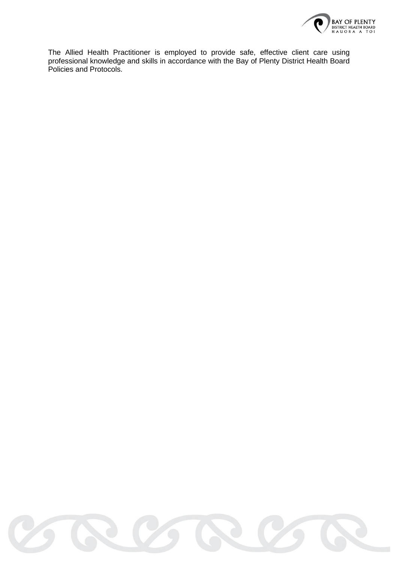

The Allied Health Practitioner is employed to provide safe, effective client care using professional knowledge and skills in accordance with the Bay of Plenty District Health Board Policies and Protocols.

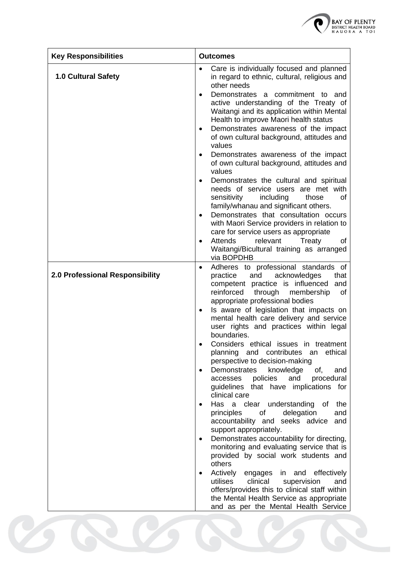

| <b>Key Responsibilities</b>     | <b>Outcomes</b>                                                                                                                                                                                                                                                                                                                                                                                                                                                                                                                                                                                                                                                                                                                                                                                                                                                                                                                                                                                                                                                                                                                                                                                                      |  |
|---------------------------------|----------------------------------------------------------------------------------------------------------------------------------------------------------------------------------------------------------------------------------------------------------------------------------------------------------------------------------------------------------------------------------------------------------------------------------------------------------------------------------------------------------------------------------------------------------------------------------------------------------------------------------------------------------------------------------------------------------------------------------------------------------------------------------------------------------------------------------------------------------------------------------------------------------------------------------------------------------------------------------------------------------------------------------------------------------------------------------------------------------------------------------------------------------------------------------------------------------------------|--|
| <b>1.0 Cultural Safety</b>      | Care is individually focused and planned<br>in regard to ethnic, cultural, religious and<br>other needs<br>Demonstrates a commitment to and<br>$\bullet$<br>active understanding of the Treaty of<br>Waitangi and its application within Mental<br>Health to improve Maori health status<br>Demonstrates awareness of the impact<br>of own cultural background, attitudes and<br>values<br>Demonstrates awareness of the impact<br>٠<br>of own cultural background, attitudes and<br>values<br>Demonstrates the cultural and spiritual<br>needs of service users are met with<br>sensitivity<br>including<br>those<br>οf<br>family/whanau and significant others.<br>Demonstrates that consultation occurs<br>$\bullet$<br>with Maori Service providers in relation to<br>care for service users as appropriate<br>relevant<br><b>Attends</b><br>Treaty<br>οf<br>Waitangi/Bicultural training as arranged<br>via BOPDHB                                                                                                                                                                                                                                                                                              |  |
| 2.0 Professional Responsibility | Adheres to professional standards of<br>$\bullet$<br>practice<br>acknowledges<br>and<br>that<br>competent practice is influenced<br>and<br>reinforced<br>through<br>membership<br>0f<br>appropriate professional bodies<br>Is aware of legislation that impacts on<br>$\bullet$<br>mental health care delivery and service<br>user rights and practices within legal<br>boundaries.<br>Considers ethical issues in treatment<br>ethical<br>planning<br>and contributes<br>an<br>perspective to decision-making<br>Demonstrates<br>knowledge<br>of,<br>and<br>and<br>policies<br>procedural<br>accesses<br>guidelines that have implications for<br>clinical care<br>Has a clear understanding<br>of<br>the<br>principles<br>of<br>delegation<br>and<br>accountability and seeks advice<br>and<br>support appropriately.<br>Demonstrates accountability for directing,<br>$\bullet$<br>monitoring and evaluating service that is<br>provided by social work students and<br>others<br>Actively<br>and effectively<br>engages<br>in<br>utilises<br>clinical<br>supervision<br>and<br>offers/provides this to clinical staff within<br>the Mental Health Service as appropriate<br>and as per the Mental Health Service |  |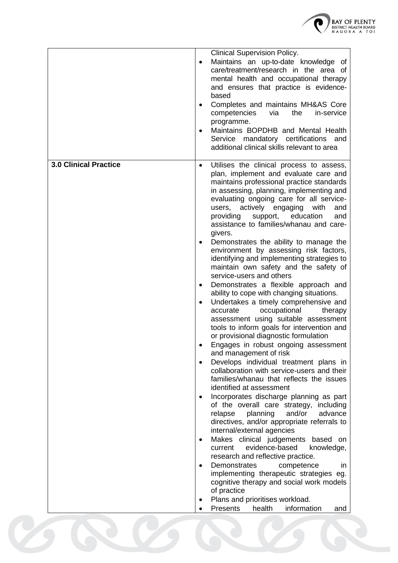

|                              | <b>Clinical Supervision Policy.</b><br>Maintains an up-to-date knowledge of<br>$\bullet$<br>care/treatment/research in the area of<br>mental health and occupational therapy<br>and ensures that practice is evidence-<br>based<br>Completes and maintains MH&AS Core<br>$\bullet$<br>competencies<br>via<br>the<br>in-service<br>programme.<br>Maintains BOPDHB and Mental Health<br>Service mandatory certifications and<br>additional clinical skills relevant to area                                                                                                                                                                                                                                                                                                                                                                                                                                                                                                                                                                                                                                                                                                                                                                                                                                                                                                                                                                                                                                                                                                                                                                                                                               |
|------------------------------|---------------------------------------------------------------------------------------------------------------------------------------------------------------------------------------------------------------------------------------------------------------------------------------------------------------------------------------------------------------------------------------------------------------------------------------------------------------------------------------------------------------------------------------------------------------------------------------------------------------------------------------------------------------------------------------------------------------------------------------------------------------------------------------------------------------------------------------------------------------------------------------------------------------------------------------------------------------------------------------------------------------------------------------------------------------------------------------------------------------------------------------------------------------------------------------------------------------------------------------------------------------------------------------------------------------------------------------------------------------------------------------------------------------------------------------------------------------------------------------------------------------------------------------------------------------------------------------------------------------------------------------------------------------------------------------------------------|
| <b>3.0 Clinical Practice</b> | Utilises the clinical process to assess,<br>$\bullet$<br>plan, implement and evaluate care and<br>maintains professional practice standards<br>in assessing, planning, implementing and<br>evaluating ongoing care for all service-<br>users, actively engaging<br>with<br>and<br>providing<br>support,<br>education<br>and<br>assistance to families/whanau and care-<br>givers.<br>Demonstrates the ability to manage the<br>environment by assessing risk factors,<br>identifying and implementing strategies to<br>maintain own safety and the safety of<br>service-users and others<br>Demonstrates a flexible approach and<br>ability to cope with changing situations.<br>Undertakes a timely comprehensive and<br>$\bullet$<br>occupational<br>accurate<br>therapy<br>assessment using suitable assessment<br>tools to inform goals for intervention and<br>or provisional diagnostic formulation<br>Engages in robust ongoing assessment<br>and management of risk<br>Develops individual treatment plans in<br>collaboration with service-users and their<br>families/whanau that reflects the issues<br>identified at assessment<br>Incorporates discharge planning as part<br>of the overall care strategy, including<br>and/or<br>relapse<br>planning<br>advance<br>directives, and/or appropriate referrals to<br>internal/external agencies<br>Makes clinical judgements based on<br>current evidence-based<br>knowledge,<br>research and reflective practice.<br>Demonstrates<br>competence<br>in.<br>implementing therapeutic strategies eg.<br>cognitive therapy and social work models<br>of practice<br>Plans and prioritises workload.<br>Presents<br>health<br>information<br>and |
|                              |                                                                                                                                                                                                                                                                                                                                                                                                                                                                                                                                                                                                                                                                                                                                                                                                                                                                                                                                                                                                                                                                                                                                                                                                                                                                                                                                                                                                                                                                                                                                                                                                                                                                                                         |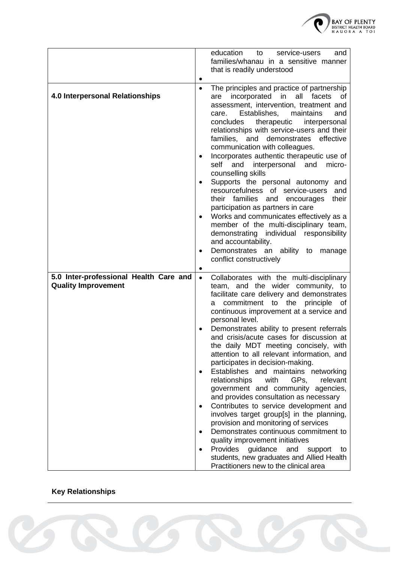

|                                                                      | education<br>to<br>service-users<br>and<br>families/whanau in a sensitive manner<br>that is readily understood                                                                                                                                                                                                                                                                                                                                                                                                                                                                                                                                                                                                                                                                                                                                                                                                                                                                                                    |
|----------------------------------------------------------------------|-------------------------------------------------------------------------------------------------------------------------------------------------------------------------------------------------------------------------------------------------------------------------------------------------------------------------------------------------------------------------------------------------------------------------------------------------------------------------------------------------------------------------------------------------------------------------------------------------------------------------------------------------------------------------------------------------------------------------------------------------------------------------------------------------------------------------------------------------------------------------------------------------------------------------------------------------------------------------------------------------------------------|
| 4.0 Interpersonal Relationships                                      | The principles and practice of partnership<br>$\bullet$<br>all<br>are incorporated in<br>facets<br>οf<br>assessment, intervention, treatment and<br>Establishes,<br>maintains<br>care.<br>and<br>therapeutic<br>interpersonal<br>concludes<br>relationships with service-users and their<br>families, and demonstrates<br>effective<br>communication with colleagues.<br>Incorporates authentic therapeutic use of<br>$\bullet$<br>and interpersonal and<br>self<br>micro-<br>counselling skills<br>Supports the personal autonomy<br>and<br>resourcefulness<br>of service-users<br>and<br>their families<br>their<br>and<br>encourages<br>participation as partners in care<br>Works and communicates effectively as a<br>$\bullet$<br>member of the multi-disciplinary team,<br>demonstrating individual responsibility<br>and accountability.<br>Demonstrates an ability to manage<br>conflict constructively                                                                                                  |
| 5.0 Inter-professional Health Care and<br><b>Quality Improvement</b> | Collaborates with the multi-disciplinary<br>$\bullet$<br>team, and the wider community, to<br>facilitate care delivery and demonstrates<br>commitment to the principle<br>οf<br>a<br>continuous improvement at a service and<br>personal level.<br>Demonstrates ability to present referrals<br>and crisis/acute cases for discussion at<br>the daily MDT meeting concisely, with<br>attention to all relevant information, and<br>participates in decision-making.<br>Establishes and maintains networking<br>relationships<br>with<br>GPs.<br>relevant<br>government and community agencies,<br>and provides consultation as necessary<br>Contributes to service development and<br>$\bullet$<br>involves target group[s] in the planning,<br>provision and monitoring of services<br>Demonstrates continuous commitment to<br>quality improvement initiatives<br>Provides guidance<br>and<br>support<br>to<br>$\bullet$<br>students, new graduates and Allied Health<br>Practitioners new to the clinical area |

## **Key Relationships**

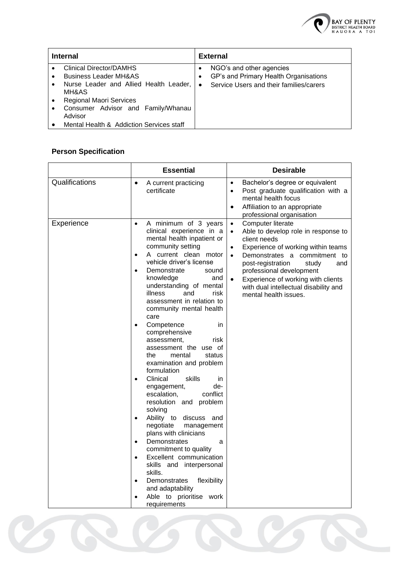

| <b>Internal</b> |                                                                                                                                                  | <b>External</b>     |                                                                                                              |
|-----------------|--------------------------------------------------------------------------------------------------------------------------------------------------|---------------------|--------------------------------------------------------------------------------------------------------------|
| $\bullet$       | Clinical Director/DAMHS<br><b>Business Leader MH&amp;AS</b><br>Nurse Leader and Allied Health Leader,<br>MH&AS<br><b>Regional Maori Services</b> | ٠<br>٠<br>$\bullet$ | NGO's and other agencies<br>GP's and Primary Health Organisations<br>Service Users and their families/carers |
|                 | Consumer Advisor and Family/Whanau<br>Advisor<br>Mental Health & Addiction Services staff                                                        |                     |                                                                                                              |

## **Person Specification**

|                | <b>Essential</b>                                                                                                                                                                                                                                                                                                                                                                                                                                                                                                                                                                                                                                                                                                                                                                                                                                                                                                                                                                              | <b>Desirable</b>                                                                                                                                                                                                                                                                                                                                                            |
|----------------|-----------------------------------------------------------------------------------------------------------------------------------------------------------------------------------------------------------------------------------------------------------------------------------------------------------------------------------------------------------------------------------------------------------------------------------------------------------------------------------------------------------------------------------------------------------------------------------------------------------------------------------------------------------------------------------------------------------------------------------------------------------------------------------------------------------------------------------------------------------------------------------------------------------------------------------------------------------------------------------------------|-----------------------------------------------------------------------------------------------------------------------------------------------------------------------------------------------------------------------------------------------------------------------------------------------------------------------------------------------------------------------------|
| Qualifications | A current practicing<br>$\bullet$<br>certificate                                                                                                                                                                                                                                                                                                                                                                                                                                                                                                                                                                                                                                                                                                                                                                                                                                                                                                                                              | Bachelor's degree or equivalent<br>$\bullet$<br>Post graduate qualification with a<br>$\bullet$<br>mental health focus<br>Affiliation to an appropriate<br>$\bullet$<br>professional organisation                                                                                                                                                                           |
| Experience     | A minimum of 3 years<br>$\bullet$<br>clinical experience in a<br>mental health inpatient or<br>community setting<br>A current clean motor<br>$\bullet$<br>vehicle driver's license<br>Demonstrate<br>sound<br>$\bullet$<br>knowledge<br>and<br>understanding of mental<br>risk<br>illness<br>and<br>assessment in relation to<br>community mental health<br>care<br>Competence<br>in<br>$\bullet$<br>comprehensive<br>assessment,<br>risk<br>assessment the use of<br>mental<br>status<br>the<br>examination and problem<br>formulation<br>Clinical<br>skills<br>in.<br>engagement,<br>de-<br>escalation,<br>conflict<br>resolution and problem<br>solving<br>Ability to discuss and<br>$\bullet$<br>negotiate<br>management<br>plans with clinicians<br>Demonstrates<br>a<br>$\bullet$<br>commitment to quality<br>Excellent communication<br>$\bullet$<br>skills and interpersonal<br>skills.<br>flexibility<br>Demonstrates<br>and adaptability<br>Able to prioritise work<br>requirements | Computer literate<br>$\bullet$<br>Able to develop role in response to<br>$\bullet$<br>client needs<br>Experience of working within teams<br>Demonstrates a commitment to<br>$\bullet$<br>post-registration<br>study<br>and<br>professional development<br>Experience of working with clients<br>$\bullet$<br>with dual intellectual disability and<br>mental health issues. |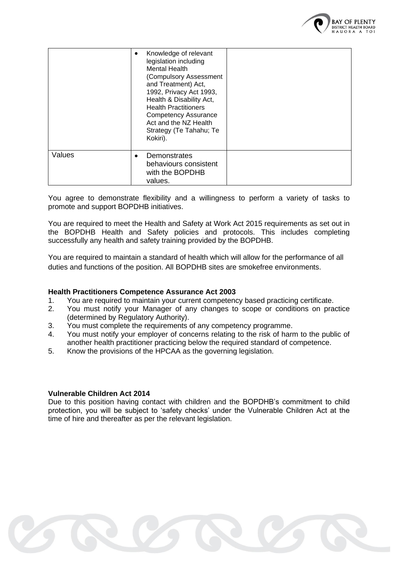

|        | Knowledge of relevant<br>legislation including<br>Mental Health<br>(Compulsory Assessment<br>and Treatment) Act,<br>1992, Privacy Act 1993,<br>Health & Disability Act,<br><b>Health Practitioners</b><br><b>Competency Assurance</b><br>Act and the NZ Health<br>Strategy (Te Tahahu; Te<br>Kokiri). |  |
|--------|-------------------------------------------------------------------------------------------------------------------------------------------------------------------------------------------------------------------------------------------------------------------------------------------------------|--|
| Values | Demonstrates<br>behaviours consistent<br>with the BOPDHB<br>values.                                                                                                                                                                                                                                   |  |

You agree to demonstrate flexibility and a willingness to perform a variety of tasks to promote and support BOPDHB initiatives.

You are required to meet the Health and Safety at Work Act 2015 requirements as set out in the BOPDHB Health and Safety policies and protocols. This includes completing successfully any health and safety training provided by the BOPDHB.

You are required to maintain a standard of health which will allow for the performance of all duties and functions of the position. All BOPDHB sites are smokefree environments.

#### **Health Practitioners Competence Assurance Act 2003**

- 1. You are required to maintain your current competency based practicing certificate.
- 2. You must notify your Manager of any changes to scope or conditions on practice (determined by Regulatory Authority).
- 3. You must complete the requirements of any competency programme.
- 4. You must notify your employer of concerns relating to the risk of harm to the public of another health practitioner practicing below the required standard of competence.
- 5. Know the provisions of the HPCAA as the governing legislation.

#### **Vulnerable Children Act 2014**

Due to this position having contact with children and the BOPDHB's commitment to child protection, you will be subject to 'safety checks' under the Vulnerable Children Act at the time of hire and thereafter as per the relevant legislation.